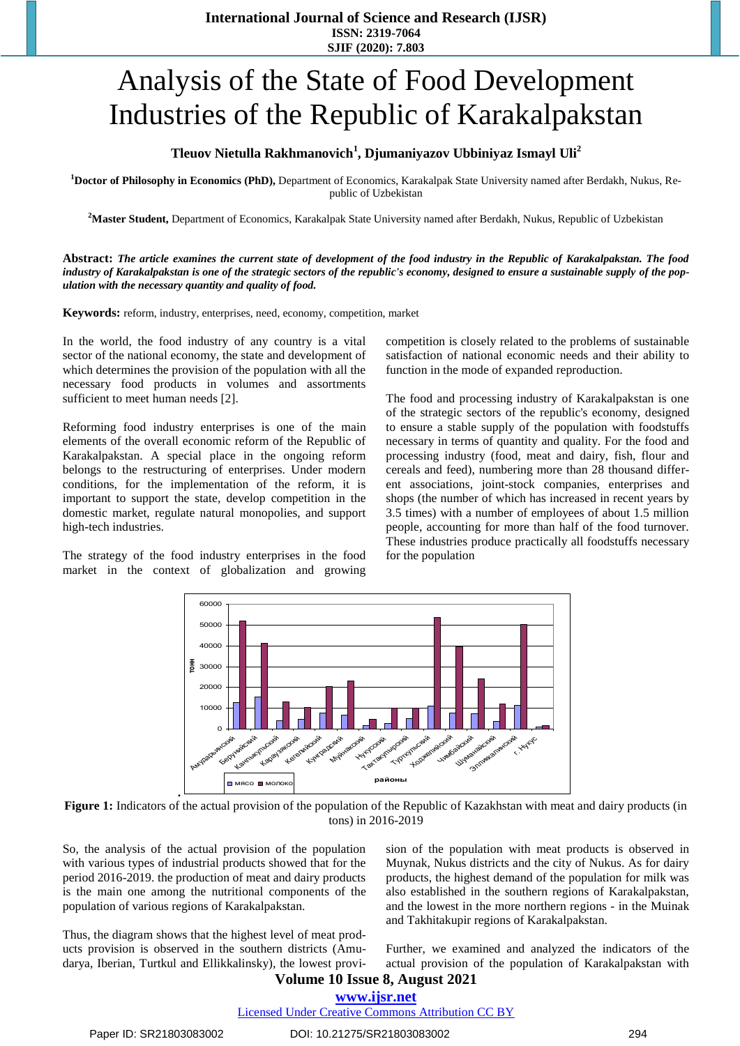# Analysis of the State of Food Development Industries of the Republic of Karakalpakstan

#### **Tleuov Nietulla Rakhmanovich<sup>1</sup> , Djumaniyazov Ubbiniyaz Ismayl Uli<sup>2</sup>**

**<sup>1</sup>Doctor of Philosophy in Economics (PhD),** Department of Economics, Karakalpak State University named after Berdakh, Nukus, Republic of Uzbekistan

**<sup>2</sup>Master Student,** Department of Economics, Karakalpak State University named after Berdakh, Nukus, Republic of Uzbekistan

**Abstract:** *The article examines the current state of development of the food industry in the Republic of Karakalpakstan. The food industry of Karakalpakstan is one of the strategic sectors of the republic's economy, designed to ensure a sustainable supply of the population with the necessary quantity and quality of food.*

**Keywords:** reform, industry, enterprises, need, economy, competition, market

In the world, the food industry of any country is a vital sector of the national economy, the state and development of which determines the provision of the population with all the necessary food products in volumes and assortments sufficient to meet human needs [2].

Reforming food industry enterprises is one of the main elements of the overall economic reform of the Republic of Karakalpakstan. A special place in the ongoing reform belongs to the restructuring of enterprises. Under modern conditions, for the implementation of the reform, it is important to support the state, develop competition in the domestic market, regulate natural monopolies, and support high-tech industries.

The strategy of the food industry enterprises in the food market in the context of globalization and growing

competition is closely related to the problems of sustainable satisfaction of national economic needs and their ability to function in the mode of expanded reproduction.

The food and processing industry of Karakalpakstan is one of the strategic sectors of the republic's economy, designed to ensure a stable supply of the population with foodstuffs necessary in terms of quantity and quality. For the food and processing industry (food, meat and dairy, fish, flour and cereals and feed), numbering more than 28 thousand different associations, joint-stock companies, enterprises and shops (the number of which has increased in recent years by 3.5 times) with a number of employees of about 1.5 million people, accounting for more than half of the food turnover. These industries produce practically all foodstuffs necessary for the population



**Figure 1:** Indicators of the actual provision of the population of the Republic of Kazakhstan with meat and dairy products (in tons) in 2016-2019

So, the analysis of the actual provision of the population with various types of industrial products showed that for the period 2016-2019. the production of meat and dairy products is the main one among the nutritional components of the population of various regions of Karakalpakstan.

**.**

Thus, the diagram shows that the highest level of meat products provision is observed in the southern districts (Amudarya, Iberian, Turtkul and Ellikkalinsky), the lowest provision of the population with meat products is observed in Muynak, Nukus districts and the city of Nukus. As for dairy products, the highest demand of the population for milk was also established in the southern regions of Karakalpakstan, and the lowest in the more northern regions - in the Muinak and Takhitakupir regions of Karakalpakstan.

Further, we examined and analyzed the indicators of the actual provision of the population of Karakalpakstan with

# **Volume 10 Issue 8, August 2021**

## **www.ijsr.net**

Licensed Under Creative Commons Attribution CC BY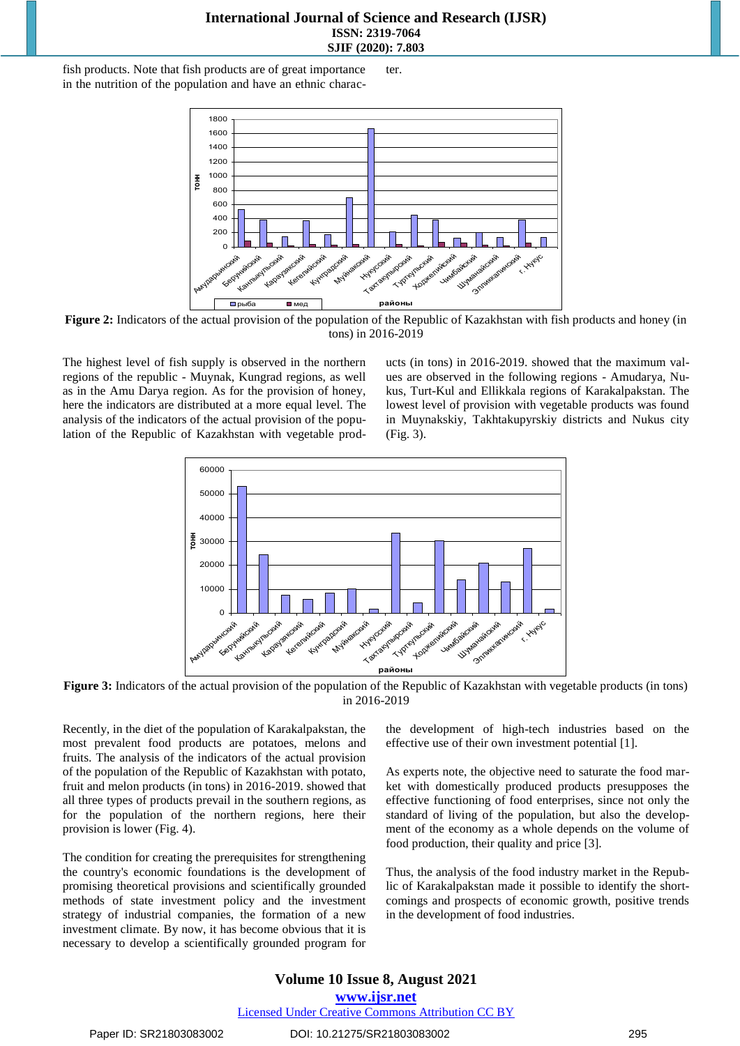#### **International Journal of Science and Research (IJSR) ISSN: 2319-7064 SJIF (2020): 7.803**

fish products. Note that fish products are of great importance in the nutrition of the population and have an ethnic character.



**Figure 2:** Indicators of the actual provision of the population of the Republic of Kazakhstan with fish products and honey (in tons) in 2016-2019

The highest level of fish supply is observed in the northern regions of the republic - Muynak, Kungrad regions, as well as in the Amu Darya region. As for the provision of honey, here the indicators are distributed at a more equal level. The analysis of the indicators of the actual provision of the population of the Republic of Kazakhstan with vegetable products (in tons) in 2016-2019. showed that the maximum values are observed in the following regions - Amudarya, Nukus, Turt-Kul and Ellikkala regions of Karakalpakstan. The lowest level of provision with vegetable products was found in Muynakskiy, Takhtakupyrskiy districts and Nukus city (Fig. 3).



**Figure 3:** Indicators of the actual provision of the population of the Republic of Kazakhstan with vegetable products (in tons) in 2016-2019

Recently, in the diet of the population of Karakalpakstan, the most prevalent food products are potatoes, melons and fruits. The analysis of the indicators of the actual provision of the population of the Republic of Kazakhstan with potato, fruit and melon products (in tons) in 2016-2019. showed that all three types of products prevail in the southern regions, as for the population of the northern regions, here their provision is lower (Fig. 4).

The condition for creating the prerequisites for strengthening the country's economic foundations is the development of promising theoretical provisions and scientifically grounded methods of state investment policy and the investment strategy of industrial companies, the formation of a new investment climate. By now, it has become obvious that it is necessary to develop a scientifically grounded program for

the development of high-tech industries based on the effective use of their own investment potential [1].

As experts note, the objective need to saturate the food market with domestically produced products presupposes the effective functioning of food enterprises, since not only the standard of living of the population, but also the development of the economy as a whole depends on the volume of food production, their quality and price [3].

Thus, the analysis of the food industry market in the Republic of Karakalpakstan made it possible to identify the shortcomings and prospects of economic growth, positive trends in the development of food industries.

### **Volume 10 Issue 8, August 2021**

**www.ijsr.net**

Licensed Under Creative Commons Attribution CC BY